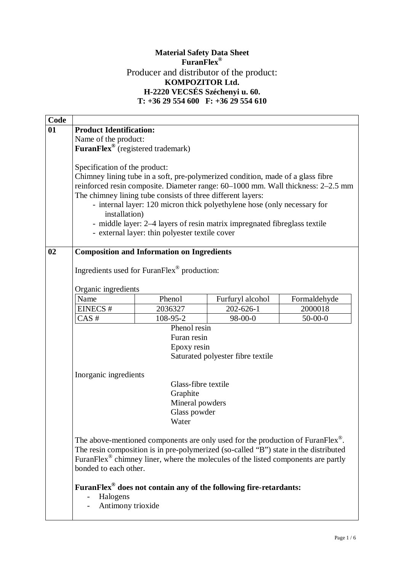## **Material Safety Data Sheet FuranFlex®** Producer and distributor of the product: **KOMPOZITOR Ltd. H-2220 VECSÉS Széchenyi u. 60. T: +36 29 554 600 F: +36 29 554 610**

| Code |                                                                                                                  |                                                                                               |                  |                                                                                  |  |  |  |
|------|------------------------------------------------------------------------------------------------------------------|-----------------------------------------------------------------------------------------------|------------------|----------------------------------------------------------------------------------|--|--|--|
| 01   | <b>Product Identification:</b>                                                                                   |                                                                                               |                  |                                                                                  |  |  |  |
|      | Name of the product:                                                                                             |                                                                                               |                  |                                                                                  |  |  |  |
|      | FuranFlex <sup>®</sup> (registered trademark)                                                                    |                                                                                               |                  |                                                                                  |  |  |  |
|      |                                                                                                                  |                                                                                               |                  |                                                                                  |  |  |  |
|      | Specification of the product:                                                                                    |                                                                                               |                  |                                                                                  |  |  |  |
|      |                                                                                                                  | Chimney lining tube in a soft, pre-polymerized condition, made of a glass fibre               |                  |                                                                                  |  |  |  |
|      |                                                                                                                  |                                                                                               |                  | reinforced resin composite. Diameter range: 60-1000 mm. Wall thickness: 2-2.5 mm |  |  |  |
|      | The chimney lining tube consists of three different layers:                                                      |                                                                                               |                  |                                                                                  |  |  |  |
|      | - internal layer: 120 micron thick polyethylene hose (only necessary for                                         |                                                                                               |                  |                                                                                  |  |  |  |
|      | installation)                                                                                                    |                                                                                               |                  |                                                                                  |  |  |  |
|      |                                                                                                                  | - middle layer: 2-4 layers of resin matrix impregnated fibreglass textile                     |                  |                                                                                  |  |  |  |
|      |                                                                                                                  | - external layer: thin polyester textile cover                                                |                  |                                                                                  |  |  |  |
|      |                                                                                                                  |                                                                                               |                  |                                                                                  |  |  |  |
| 02   | <b>Composition and Information on Ingredients</b><br>Ingredients used for FuranFlex <sup>®</sup> production:     |                                                                                               |                  |                                                                                  |  |  |  |
|      |                                                                                                                  |                                                                                               |                  |                                                                                  |  |  |  |
|      |                                                                                                                  |                                                                                               |                  |                                                                                  |  |  |  |
|      |                                                                                                                  |                                                                                               |                  |                                                                                  |  |  |  |
|      | Organic ingredients<br>Name                                                                                      | Phenol                                                                                        | Furfuryl alcohol |                                                                                  |  |  |  |
|      | EINECS#                                                                                                          | 2036327                                                                                       | $202 - 626 - 1$  | Formaldehyde<br>2000018                                                          |  |  |  |
|      | $CAS$ #                                                                                                          | 108-95-2                                                                                      | 98-00-0          | $50-00-0$                                                                        |  |  |  |
|      |                                                                                                                  | Phenol resin                                                                                  |                  |                                                                                  |  |  |  |
|      |                                                                                                                  | Furan resin                                                                                   |                  |                                                                                  |  |  |  |
|      |                                                                                                                  | Epoxy resin                                                                                   |                  |                                                                                  |  |  |  |
|      |                                                                                                                  |                                                                                               |                  |                                                                                  |  |  |  |
|      | Saturated polyester fibre textile<br>Inorganic ingredients<br>Glass-fibre textile<br>Graphite<br>Mineral powders |                                                                                               |                  |                                                                                  |  |  |  |
|      |                                                                                                                  |                                                                                               |                  |                                                                                  |  |  |  |
|      |                                                                                                                  |                                                                                               |                  |                                                                                  |  |  |  |
|      |                                                                                                                  |                                                                                               |                  |                                                                                  |  |  |  |
|      |                                                                                                                  |                                                                                               |                  |                                                                                  |  |  |  |
|      | Glass powder                                                                                                     |                                                                                               |                  |                                                                                  |  |  |  |
|      |                                                                                                                  | Water                                                                                         |                  |                                                                                  |  |  |  |
|      |                                                                                                                  |                                                                                               |                  |                                                                                  |  |  |  |
|      |                                                                                                                  | The above-mentioned components are only used for the production of FuranFlex <sup>®</sup> .   |                  |                                                                                  |  |  |  |
|      |                                                                                                                  | The resin composition is in pre-polymerized (so-called "B") state in the distributed          |                  |                                                                                  |  |  |  |
|      |                                                                                                                  | FuranFlex <sup>®</sup> chimney liner, where the molecules of the listed components are partly |                  |                                                                                  |  |  |  |
|      | bonded to each other.                                                                                            |                                                                                               |                  |                                                                                  |  |  |  |
|      |                                                                                                                  |                                                                                               |                  |                                                                                  |  |  |  |
|      |                                                                                                                  | FuranFlex <sup>®</sup> does not contain any of the following fire-retardants:                 |                  |                                                                                  |  |  |  |
|      | Halogens                                                                                                         |                                                                                               |                  |                                                                                  |  |  |  |
|      | Antimony trioxide                                                                                                |                                                                                               |                  |                                                                                  |  |  |  |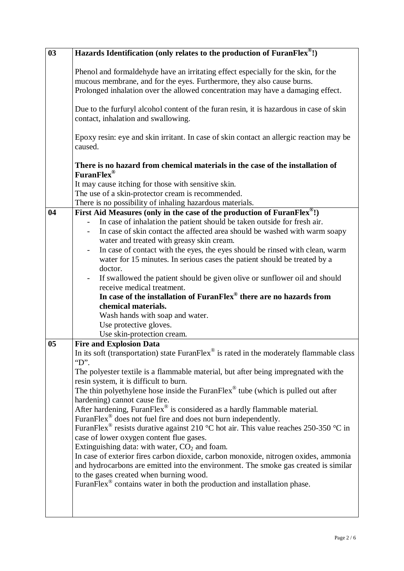| 03             | Hazards Identification (only relates to the production of FuranFlex®!)                                                                                                                                                               |  |  |  |  |  |
|----------------|--------------------------------------------------------------------------------------------------------------------------------------------------------------------------------------------------------------------------------------|--|--|--|--|--|
|                | Phenol and formal dehyde have an irritating effect especially for the skin, for the                                                                                                                                                  |  |  |  |  |  |
|                | mucous membrane, and for the eyes. Furthermore, they also cause burns.                                                                                                                                                               |  |  |  |  |  |
|                | Prolonged inhalation over the allowed concentration may have a damaging effect.                                                                                                                                                      |  |  |  |  |  |
|                | Due to the furfuryl alcohol content of the furan resin, it is hazardous in case of skin<br>contact, inhalation and swallowing.<br>Epoxy resin: eye and skin irritant. In case of skin contact an allergic reaction may be<br>caused. |  |  |  |  |  |
|                |                                                                                                                                                                                                                                      |  |  |  |  |  |
|                | There is no hazard from chemical materials in the case of the installation of<br>FuranFlex <sup>®</sup>                                                                                                                              |  |  |  |  |  |
|                | It may cause itching for those with sensitive skin.                                                                                                                                                                                  |  |  |  |  |  |
|                | The use of a skin-protector cream is recommended.                                                                                                                                                                                    |  |  |  |  |  |
|                | There is no possibility of inhaling hazardous materials.                                                                                                                                                                             |  |  |  |  |  |
| 04             | First Aid Measures (only in the case of the production of FuranFlex $^{\circledast}$ !)                                                                                                                                              |  |  |  |  |  |
|                | In case of inhalation the patient should be taken outside for fresh air.                                                                                                                                                             |  |  |  |  |  |
|                | In case of skin contact the affected area should be washed with warm soapy                                                                                                                                                           |  |  |  |  |  |
|                | water and treated with greasy skin cream.                                                                                                                                                                                            |  |  |  |  |  |
|                | In case of contact with the eyes, the eyes should be rinsed with clean, warm<br>$\overline{\phantom{a}}$                                                                                                                             |  |  |  |  |  |
|                | water for 15 minutes. In serious cases the patient should be treated by a                                                                                                                                                            |  |  |  |  |  |
|                | doctor.                                                                                                                                                                                                                              |  |  |  |  |  |
|                | If swallowed the patient should be given olive or sunflower oil and should<br>$\overline{\phantom{a}}$                                                                                                                               |  |  |  |  |  |
|                | receive medical treatment.<br>In case of the installation of FuranFlex® there are no hazards from                                                                                                                                    |  |  |  |  |  |
|                |                                                                                                                                                                                                                                      |  |  |  |  |  |
|                | chemical materials.<br>Wash hands with soap and water.                                                                                                                                                                               |  |  |  |  |  |
|                | Use protective gloves.                                                                                                                                                                                                               |  |  |  |  |  |
|                | Use skin-protection cream.                                                                                                                                                                                                           |  |  |  |  |  |
| 0 <sub>5</sub> | <b>Fire and Explosion Data</b>                                                                                                                                                                                                       |  |  |  |  |  |
|                | In its soft (transportation) state Furan $Flex^{\otimes}$ is rated in the moderately flammable class                                                                                                                                 |  |  |  |  |  |
|                | $\lq$ "D".                                                                                                                                                                                                                           |  |  |  |  |  |
|                | The polyester textile is a flammable material, but after being impregnated with the<br>resin system, it is difficult to burn.                                                                                                        |  |  |  |  |  |
|                | The thin polyethylene hose inside the FuranFlex® tube (which is pulled out after                                                                                                                                                     |  |  |  |  |  |
|                | hardening) cannot cause fire.                                                                                                                                                                                                        |  |  |  |  |  |
|                | After hardening, FuranFlex <sup>®</sup> is considered as a hardly flammable material.                                                                                                                                                |  |  |  |  |  |
|                | FuranFlex <sup>®</sup> does not fuel fire and does not burn independently.                                                                                                                                                           |  |  |  |  |  |
|                | FuranFlex <sup>®</sup> resists durative against 210 °C hot air. This value reaches 250-350 °C in                                                                                                                                     |  |  |  |  |  |
|                | case of lower oxygen content flue gases.                                                                                                                                                                                             |  |  |  |  |  |
|                | Extinguishing data: with water, CO <sub>2</sub> and foam.                                                                                                                                                                            |  |  |  |  |  |
|                | In case of exterior fires carbon dioxide, carbon monoxide, nitrogen oxides, ammonia                                                                                                                                                  |  |  |  |  |  |
|                | and hydrocarbons are emitted into the environment. The smoke gas created is similar                                                                                                                                                  |  |  |  |  |  |
|                | to the gases created when burning wood.<br>FuranFlex <sup>®</sup> contains water in both the production and installation phase.                                                                                                      |  |  |  |  |  |
|                |                                                                                                                                                                                                                                      |  |  |  |  |  |
|                |                                                                                                                                                                                                                                      |  |  |  |  |  |
|                |                                                                                                                                                                                                                                      |  |  |  |  |  |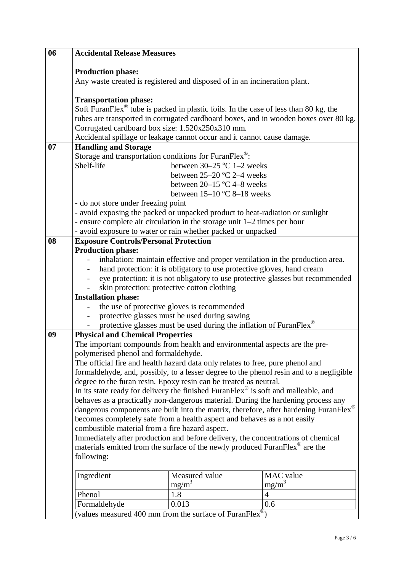| 06 |                                                                                                                                                              | <b>Accidental Release Measures</b>                                                                                                                                                        |                                                                                       |  |  |  |
|----|--------------------------------------------------------------------------------------------------------------------------------------------------------------|-------------------------------------------------------------------------------------------------------------------------------------------------------------------------------------------|---------------------------------------------------------------------------------------|--|--|--|
|    | <b>Production phase:</b>                                                                                                                                     |                                                                                                                                                                                           |                                                                                       |  |  |  |
|    | Any waste created is registered and disposed of in an incineration plant.                                                                                    |                                                                                                                                                                                           |                                                                                       |  |  |  |
|    |                                                                                                                                                              |                                                                                                                                                                                           |                                                                                       |  |  |  |
|    |                                                                                                                                                              | <b>Transportation phase:</b>                                                                                                                                                              |                                                                                       |  |  |  |
|    |                                                                                                                                                              | Soft Furan Flex <sup>®</sup> tube is packed in plastic foils. In the case of less than 80 kg, the<br>tubes are transported in corrugated cardboard boxes, and in wooden boxes over 80 kg. |                                                                                       |  |  |  |
|    | Corrugated cardboard box size: 1.520x250x310 mm.                                                                                                             |                                                                                                                                                                                           |                                                                                       |  |  |  |
|    | Accidental spillage or leakage cannot occur and it cannot cause damage.                                                                                      |                                                                                                                                                                                           |                                                                                       |  |  |  |
| 07 | <b>Handling and Storage</b>                                                                                                                                  |                                                                                                                                                                                           |                                                                                       |  |  |  |
|    | Storage and transportation conditions for FuranFlex®:                                                                                                        |                                                                                                                                                                                           |                                                                                       |  |  |  |
|    | Shelf-life                                                                                                                                                   | between $30-25$ °C 1-2 weeks                                                                                                                                                              |                                                                                       |  |  |  |
|    |                                                                                                                                                              | between $25-20$ °C 2-4 weeks                                                                                                                                                              |                                                                                       |  |  |  |
|    |                                                                                                                                                              | between $20-15$ °C 4-8 weeks<br>between $15-10$ °C 8-18 weeks                                                                                                                             |                                                                                       |  |  |  |
|    | - do not store under freezing point                                                                                                                          |                                                                                                                                                                                           |                                                                                       |  |  |  |
|    | - avoid exposing the packed or unpacked product to heat-radiation or sunlight                                                                                |                                                                                                                                                                                           |                                                                                       |  |  |  |
|    | - ensure complete air circulation in the storage unit 1–2 times per hour                                                                                     |                                                                                                                                                                                           |                                                                                       |  |  |  |
|    | - avoid exposure to water or rain whether packed or unpacked                                                                                                 |                                                                                                                                                                                           |                                                                                       |  |  |  |
| 08 | <b>Exposure Controls/Personal Protection</b>                                                                                                                 |                                                                                                                                                                                           |                                                                                       |  |  |  |
|    | <b>Production phase:</b><br>inhalation: maintain effective and proper ventilation in the production area.                                                    |                                                                                                                                                                                           |                                                                                       |  |  |  |
|    |                                                                                                                                                              |                                                                                                                                                                                           |                                                                                       |  |  |  |
|    | hand protection: it is obligatory to use protective gloves, hand cream                                                                                       |                                                                                                                                                                                           |                                                                                       |  |  |  |
|    |                                                                                                                                                              | eye protection: it is not obligatory to use protective glasses but recommended<br>skin protection: protective cotton clothing                                                             |                                                                                       |  |  |  |
|    | <b>Installation phase:</b>                                                                                                                                   |                                                                                                                                                                                           |                                                                                       |  |  |  |
|    | the use of protective gloves is recommended                                                                                                                  |                                                                                                                                                                                           |                                                                                       |  |  |  |
|    | protective glasses must be used during sawing                                                                                                                |                                                                                                                                                                                           |                                                                                       |  |  |  |
|    |                                                                                                                                                              | protective glasses must be used during the inflation of FuranFlex®                                                                                                                        |                                                                                       |  |  |  |
| 09 | <b>Physical and Chemical Properties</b>                                                                                                                      |                                                                                                                                                                                           |                                                                                       |  |  |  |
|    | The important compounds from health and environmental aspects are the pre-                                                                                   |                                                                                                                                                                                           |                                                                                       |  |  |  |
|    | polymerised phenol and formaldehyde.<br>The official fire and health hazard data only relates to free, pure phenol and                                       |                                                                                                                                                                                           |                                                                                       |  |  |  |
|    |                                                                                                                                                              |                                                                                                                                                                                           |                                                                                       |  |  |  |
|    | formaldehyde, and, possibly, to a lesser degree to the phenol resin and to a negligible<br>degree to the furan resin. Epoxy resin can be treated as neutral. |                                                                                                                                                                                           |                                                                                       |  |  |  |
|    |                                                                                                                                                              | In its state ready for delivery the finished FuranFlex® is soft and malleable, and                                                                                                        |                                                                                       |  |  |  |
|    | behaves as a practically non-dangerous material. During the hardening process any                                                                            |                                                                                                                                                                                           |                                                                                       |  |  |  |
|    |                                                                                                                                                              |                                                                                                                                                                                           | dangerous components are built into the matrix, therefore, after hardening FuranFlex® |  |  |  |
|    | becomes completely safe from a health aspect and behaves as a not easily                                                                                     |                                                                                                                                                                                           |                                                                                       |  |  |  |
|    | combustible material from a fire hazard aspect.                                                                                                              |                                                                                                                                                                                           |                                                                                       |  |  |  |
|    |                                                                                                                                                              | Immediately after production and before delivery, the concentrations of chemical                                                                                                          |                                                                                       |  |  |  |
|    | following:                                                                                                                                                   | materials emitted from the surface of the newly produced FuranFlex <sup>®</sup> are the                                                                                                   |                                                                                       |  |  |  |
|    |                                                                                                                                                              |                                                                                                                                                                                           |                                                                                       |  |  |  |
|    | Ingredient                                                                                                                                                   | Measured value                                                                                                                                                                            | <b>MAC</b> value                                                                      |  |  |  |
|    |                                                                                                                                                              | $mg/m^3$                                                                                                                                                                                  | $mg/m^3$                                                                              |  |  |  |
|    | Phenol                                                                                                                                                       | 1.8                                                                                                                                                                                       | $\overline{4}$                                                                        |  |  |  |
|    | Formaldehyde                                                                                                                                                 | 0.013                                                                                                                                                                                     | 0.6                                                                                   |  |  |  |
|    | (values measured 400 mm from the surface of FuranFlex $^{\circledR}$ )                                                                                       |                                                                                                                                                                                           |                                                                                       |  |  |  |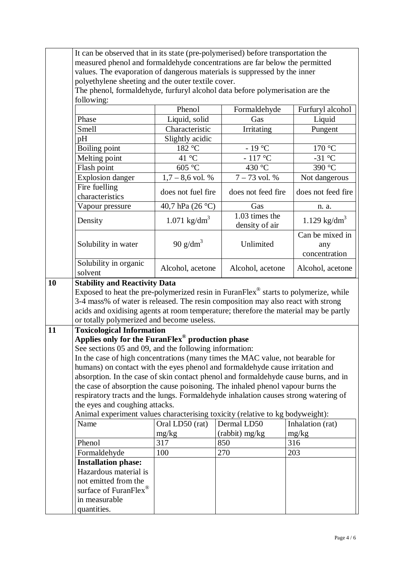|    |                                                                                                                                                                                                                                                                                                                           | It can be observed that in its state (pre-polymerised) before transportation the<br>measured phenol and formaldehyde concentrations are far below the permitted |                                  |                                         |  |  |
|----|---------------------------------------------------------------------------------------------------------------------------------------------------------------------------------------------------------------------------------------------------------------------------------------------------------------------------|-----------------------------------------------------------------------------------------------------------------------------------------------------------------|----------------------------------|-----------------------------------------|--|--|
|    |                                                                                                                                                                                                                                                                                                                           |                                                                                                                                                                 |                                  |                                         |  |  |
|    |                                                                                                                                                                                                                                                                                                                           | values. The evaporation of dangerous materials is suppressed by the inner<br>polyethylene sheeting and the outer textile cover.                                 |                                  |                                         |  |  |
|    |                                                                                                                                                                                                                                                                                                                           | The phenol, formaldehyde, furfuryl alcohol data before polymerisation are the                                                                                   |                                  |                                         |  |  |
|    | following:                                                                                                                                                                                                                                                                                                                |                                                                                                                                                                 |                                  |                                         |  |  |
|    |                                                                                                                                                                                                                                                                                                                           | Phenol                                                                                                                                                          | Formaldehyde                     | Furfuryl alcohol                        |  |  |
|    | Phase                                                                                                                                                                                                                                                                                                                     | Liquid, solid                                                                                                                                                   | Gas                              | Liquid                                  |  |  |
|    | Smell                                                                                                                                                                                                                                                                                                                     | Characteristic                                                                                                                                                  | Irritating                       | Pungent                                 |  |  |
|    | pH                                                                                                                                                                                                                                                                                                                        | Slightly acidic                                                                                                                                                 |                                  |                                         |  |  |
|    | Boiling point                                                                                                                                                                                                                                                                                                             | 182 °C                                                                                                                                                          | - 19 °C                          | 170 °C                                  |  |  |
|    | Melting point                                                                                                                                                                                                                                                                                                             | 41 °C                                                                                                                                                           | $-117^{\circ}$ C                 | $-31\overline{{}^{\circ}C}$             |  |  |
|    | Flash point                                                                                                                                                                                                                                                                                                               | 605 °C                                                                                                                                                          | 430 °C                           | 390 °C                                  |  |  |
|    | <b>Explosion danger</b>                                                                                                                                                                                                                                                                                                   | $1,7-8,6$ vol. %                                                                                                                                                | $7 - 73$ vol. %                  | Not dangerous                           |  |  |
|    | Fire fuelling<br>characteristics                                                                                                                                                                                                                                                                                          | does not fuel fire                                                                                                                                              | does not feed fire               | does not feed fire                      |  |  |
|    | Vapour pressure                                                                                                                                                                                                                                                                                                           | 40,7 hPa (26 °C)                                                                                                                                                | Gas                              | n. a.                                   |  |  |
|    | Density                                                                                                                                                                                                                                                                                                                   | 1.071 $\text{kg/dm}^3$                                                                                                                                          | 1.03 times the<br>density of air | 1.129 $\text{kg/dm}^3$                  |  |  |
|    | Solubility in water                                                                                                                                                                                                                                                                                                       | 90 $g/dm^3$                                                                                                                                                     | Unlimited                        | Can be mixed in<br>any<br>concentration |  |  |
|    | Solubility in organic<br>solvent                                                                                                                                                                                                                                                                                          | Alcohol, acetone                                                                                                                                                | Alcohol, acetone                 | Alcohol, acetone                        |  |  |
|    | Exposed to heat the pre-polymerized resin in FuranFlex <sup>®</sup> starts to polymerize, while<br>3-4 mass% of water is released. The resin composition may also react with strong<br>acids and oxidising agents at room temperature; therefore the material may be partly<br>or totally polymerized and become useless. |                                                                                                                                                                 |                                  |                                         |  |  |
| 11 | <b>Toxicological Information</b>                                                                                                                                                                                                                                                                                          |                                                                                                                                                                 |                                  |                                         |  |  |
|    | Applies only for the FuranFlex® production phase                                                                                                                                                                                                                                                                          |                                                                                                                                                                 |                                  |                                         |  |  |
|    | See sections 05 and 09, and the following information:                                                                                                                                                                                                                                                                    |                                                                                                                                                                 |                                  |                                         |  |  |
|    | In the case of high concentrations (many times the MAC value, not bearable for                                                                                                                                                                                                                                            |                                                                                                                                                                 |                                  |                                         |  |  |
|    | humans) on contact with the eyes phenol and formaldehyde cause irritation and                                                                                                                                                                                                                                             |                                                                                                                                                                 |                                  |                                         |  |  |
|    | absorption. In the case of skin contact phenol and formaldehyde cause burns, and in                                                                                                                                                                                                                                       |                                                                                                                                                                 |                                  |                                         |  |  |
|    | the case of absorption the cause poisoning. The inhaled phenol vapour burns the                                                                                                                                                                                                                                           |                                                                                                                                                                 |                                  |                                         |  |  |
|    | respiratory tracts and the lungs. Formaldehyde inhalation causes strong watering of                                                                                                                                                                                                                                       |                                                                                                                                                                 |                                  |                                         |  |  |
|    | the eyes and coughing attacks.                                                                                                                                                                                                                                                                                            |                                                                                                                                                                 |                                  |                                         |  |  |
|    | Animal experiment values characterising toxicity (relative to kg bodyweight):<br>Name                                                                                                                                                                                                                                     |                                                                                                                                                                 | Dermal LD50                      | Inhalation (rat)                        |  |  |
|    |                                                                                                                                                                                                                                                                                                                           | Oral LD50 (rat)<br>mg/kg                                                                                                                                        | $(rabbit)$ mg/kg                 | mg/kg                                   |  |  |
|    | Phenol                                                                                                                                                                                                                                                                                                                    | 317                                                                                                                                                             | 850                              | 316                                     |  |  |
|    | Formaldehyde                                                                                                                                                                                                                                                                                                              | 100                                                                                                                                                             | 270                              | 203                                     |  |  |
|    | <b>Installation phase:</b>                                                                                                                                                                                                                                                                                                |                                                                                                                                                                 |                                  |                                         |  |  |
|    | Hazardous material is                                                                                                                                                                                                                                                                                                     |                                                                                                                                                                 |                                  |                                         |  |  |
|    | not emitted from the                                                                                                                                                                                                                                                                                                      |                                                                                                                                                                 |                                  |                                         |  |  |
|    | surface of FuranFlex <sup>®</sup>                                                                                                                                                                                                                                                                                         |                                                                                                                                                                 |                                  |                                         |  |  |
|    | in measurable                                                                                                                                                                                                                                                                                                             |                                                                                                                                                                 |                                  |                                         |  |  |
|    | quantities.                                                                                                                                                                                                                                                                                                               |                                                                                                                                                                 |                                  |                                         |  |  |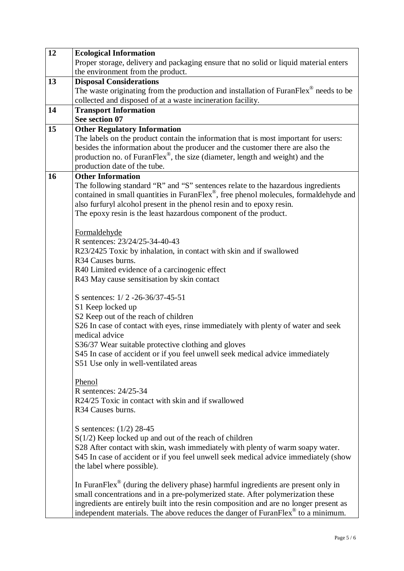| 12 | <b>Ecological Information</b>                                                                        |  |  |  |  |
|----|------------------------------------------------------------------------------------------------------|--|--|--|--|
|    | Proper storage, delivery and packaging ensure that no solid or liquid material enters                |  |  |  |  |
|    | the environment from the product.                                                                    |  |  |  |  |
| 13 | <b>Disposal Considerations</b>                                                                       |  |  |  |  |
|    | The waste originating from the production and installation of Furan Flex $^{\circ\circ}$ needs to be |  |  |  |  |
|    | collected and disposed of at a waste incineration facility.                                          |  |  |  |  |
| 14 | <b>Transport Information</b>                                                                         |  |  |  |  |
|    | See section 07                                                                                       |  |  |  |  |
| 15 | <b>Other Regulatory Information</b>                                                                  |  |  |  |  |
|    | The labels on the product contain the information that is most important for users:                  |  |  |  |  |
|    | besides the information about the producer and the customer there are also the                       |  |  |  |  |
|    | production no. of Furan $Flex^{\otimes}$ , the size (diameter, length and weight) and the            |  |  |  |  |
|    | production date of the tube.                                                                         |  |  |  |  |
| 16 | <b>Other Information</b>                                                                             |  |  |  |  |
|    | The following standard "R" and "S" sentences relate to the hazardous ingredients                     |  |  |  |  |
|    | contained in small quantities in FuranFlex <sup>®</sup> , free phenol molecules, formaldehyde and    |  |  |  |  |
|    | also furfuryl alcohol present in the phenol resin and to epoxy resin.                                |  |  |  |  |
|    | The epoxy resin is the least hazardous component of the product.                                     |  |  |  |  |
|    |                                                                                                      |  |  |  |  |
|    | Formaldehyde                                                                                         |  |  |  |  |
|    | R sentences: 23/24/25-34-40-43                                                                       |  |  |  |  |
|    | R23/2425 Toxic by inhalation, in contact with skin and if swallowed                                  |  |  |  |  |
|    | R34 Causes burns.                                                                                    |  |  |  |  |
|    | R40 Limited evidence of a carcinogenic effect                                                        |  |  |  |  |
|    | R43 May cause sensitisation by skin contact                                                          |  |  |  |  |
|    |                                                                                                      |  |  |  |  |
|    | S sentences: $1/2 - 26 - 36/37 - 45 - 51$                                                            |  |  |  |  |
|    | S1 Keep locked up                                                                                    |  |  |  |  |
|    | S2 Keep out of the reach of children                                                                 |  |  |  |  |
|    | S26 In case of contact with eyes, rinse immediately with plenty of water and seek                    |  |  |  |  |
|    | medical advice                                                                                       |  |  |  |  |
|    | S36/37 Wear suitable protective clothing and gloves                                                  |  |  |  |  |
|    | S45 In case of accident or if you feel unwell seek medical advice immediately                        |  |  |  |  |
|    | S51 Use only in well-ventilated areas                                                                |  |  |  |  |
|    |                                                                                                      |  |  |  |  |
|    | Phenol                                                                                               |  |  |  |  |
|    | R sentences: 24/25-34                                                                                |  |  |  |  |
|    | R24/25 Toxic in contact with skin and if swallowed                                                   |  |  |  |  |
|    | R34 Causes burns.                                                                                    |  |  |  |  |
|    |                                                                                                      |  |  |  |  |
|    | S sentences: $(1/2)$ 28-45                                                                           |  |  |  |  |
|    | $S(1/2)$ Keep locked up and out of the reach of children                                             |  |  |  |  |
|    | S28 After contact with skin, wash immediately with plenty of warm soapy water.                       |  |  |  |  |
|    | S45 In case of accident or if you feel unwell seek medical advice immediately (show                  |  |  |  |  |
|    | the label where possible).                                                                           |  |  |  |  |
|    |                                                                                                      |  |  |  |  |
|    | In FuranFlex® (during the delivery phase) harmful ingredients are present only in                    |  |  |  |  |
|    | small concentrations and in a pre-polymerized state. After polymerization these                      |  |  |  |  |
|    | ingredients are entirely built into the resin composition and are no longer present as               |  |  |  |  |
|    | independent materials. The above reduces the danger of FuranFlex® to a minimum.                      |  |  |  |  |